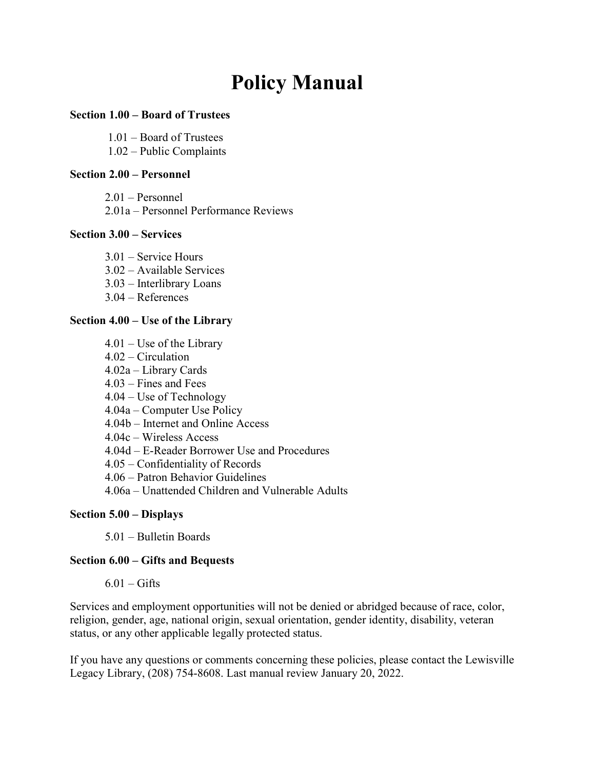# Policy Manual

# Section 1.00 – Board of Trustees

1.01 – Board of Trustees

1.02 – Public Complaints

## Section 2.00 – Personnel

2.01 – Personnel

2.01a – Personnel Performance Reviews

## Section 3.00 – Services

- 3.01 Service Hours
- 3.02 Available Services
- 3.03 Interlibrary Loans
- 3.04 References

# Section 4.00 – Use of the Library

- 4.01 Use of the Library
- 4.02 Circulation
- 4.02a Library Cards
- 4.03 Fines and Fees
- 4.04 Use of Technology
- 4.04a Computer Use Policy
- 4.04b Internet and Online Access
- 4.04c Wireless Access
- 4.04d E-Reader Borrower Use and Procedures
- 4.05 Confidentiality of Records
- 4.06 Patron Behavior Guidelines
- 4.06a Unattended Children and Vulnerable Adults

## Section 5.00 – Displays

5.01 – Bulletin Boards

# Section 6.00 – Gifts and Bequests

 $6.01 -$ Gifts

Services and employment opportunities will not be denied or abridged because of race, color, religion, gender, age, national origin, sexual orientation, gender identity, disability, veteran status, or any other applicable legally protected status.

If you have any questions or comments concerning these policies, please contact the Lewisville Legacy Library, (208) 754-8608. Last manual review January 20, 2022.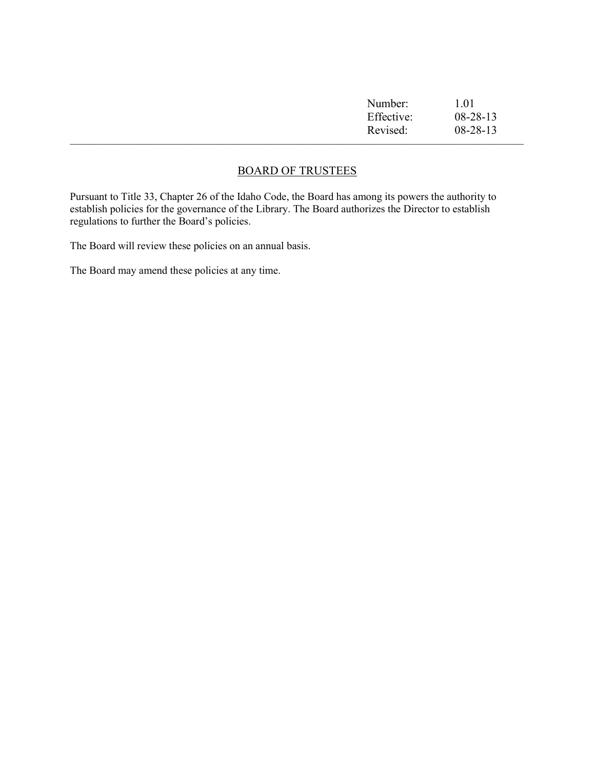| Number:    | 1.01           |
|------------|----------------|
| Effective: | $08-28-13$     |
| Revised:   | $08 - 28 - 13$ |
|            |                |

# BOARD OF TRUSTEES

Pursuant to Title 33, Chapter 26 of the Idaho Code, the Board has among its powers the authority to establish policies for the governance of the Library. The Board authorizes the Director to establish regulations to further the Board's policies.

The Board will review these policies on an annual basis.

The Board may amend these policies at any time.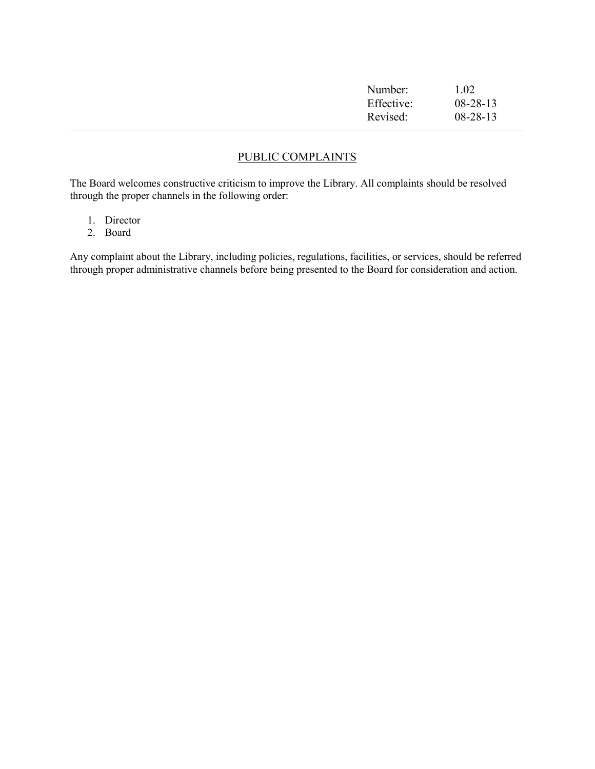| Number:    | 1.02           |  |
|------------|----------------|--|
| Effective: | $08 - 28 - 13$ |  |
| Revised:   | $08 - 28 - 13$ |  |
|            |                |  |

# PUBLIC COMPLAINTS

The Board welcomes constructive criticism to improve the Library. All complaints should be resolved through the proper channels in the following order:

- 1. Director
- 2. Board

Any complaint about the Library, including policies, regulations, facilities, or services, should be referred through proper administrative channels before being presented to the Board for consideration and action.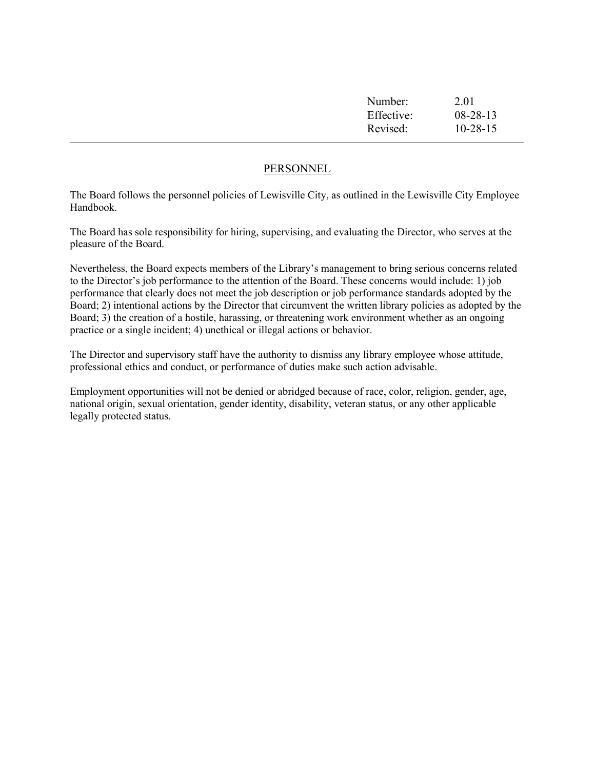| Number:    | 2.01           |
|------------|----------------|
| Effective: | $08-28-13$     |
| Revised:   | $10 - 28 - 15$ |
|            |                |

## PERSONNEL

The Board follows the personnel policies of Lewisville City, as outlined in the Lewisville City Employee Handbook.

The Board has sole responsibility for hiring, supervising, and evaluating the Director, who serves at the pleasure of the Board.

Nevertheless, the Board expects members of the Library's management to bring serious concerns related to the Director's job performance to the attention of the Board. These concerns would include: 1) job performance that clearly does not meet the job description or job performance standards adopted by the Board; 2) intentional actions by the Director that circumvent the written library policies as adopted by the Board; 3) the creation of a hostile, harassing, or threatening work environment whether as an ongoing practice or a single incident; 4) unethical or illegal actions or behavior.

The Director and supervisory staff have the authority to dismiss any library employee whose attitude, professional ethics and conduct, or performance of duties make such action advisable.

Employment opportunities will not be denied or abridged because of race, color, religion, gender, age, national origin, sexual orientation, gender identity, disability, veteran status, or any other applicable legally protected status.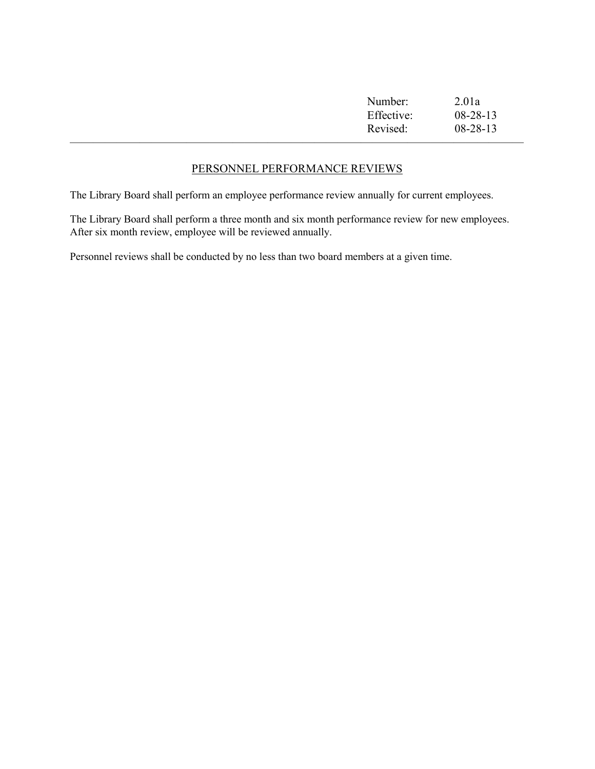| Number:    | 2.01a          |
|------------|----------------|
| Effective: | $08-28-13$     |
| Revised:   | $08 - 28 - 13$ |
|            |                |

# PERSONNEL PERFORMANCE REVIEWS

The Library Board shall perform an employee performance review annually for current employees.

The Library Board shall perform a three month and six month performance review for new employees. After six month review, employee will be reviewed annually.

Personnel reviews shall be conducted by no less than two board members at a given time.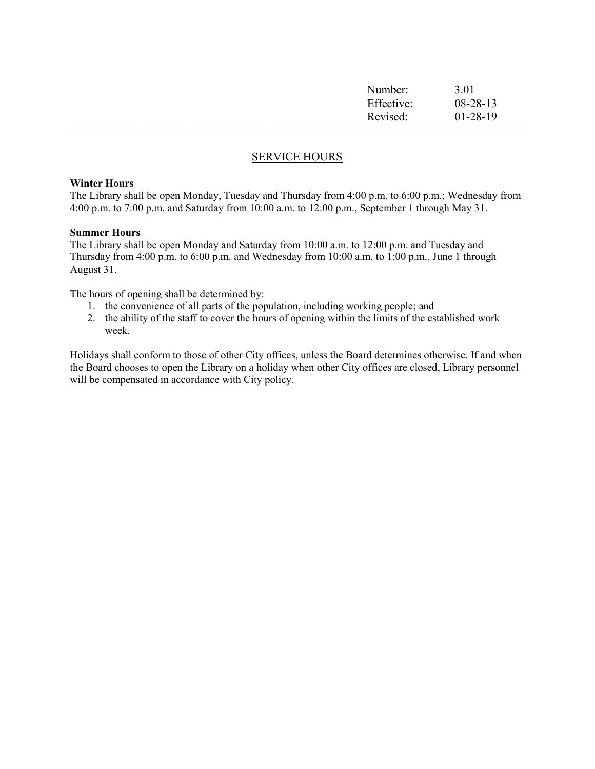| Number:    | 3.01           |  |
|------------|----------------|--|
| Effective: | $08 - 28 - 13$ |  |
| Revised:   | $01-28-19$     |  |
|            |                |  |

# SERVICE HOURS

#### Winter Hours

The Library shall be open Monday, Tuesday and Thursday from 4:00 p.m. to 6:00 p.m.; Wednesday from 4:00 p.m. to 7:00 p.m. and Saturday from 10:00 a.m. to 12:00 p.m., September 1 through May 31.

#### Summer Hours

The Library shall be open Monday and Saturday from 10:00 a.m. to 12:00 p.m. and Tuesday and Thursday from 4:00 p.m. to 6:00 p.m. and Wednesday from 10:00 a.m. to 1:00 p.m., June 1 through August 31.

The hours of opening shall be determined by:

- 1. the convenience of all parts of the population, including working people; and
- 2. the ability of the staff to cover the hours of opening within the limits of the established work week.

Holidays shall conform to those of other City offices, unless the Board determines otherwise. If and when the Board chooses to open the Library on a holiday when other City offices are closed, Library personnel will be compensated in accordance with City policy.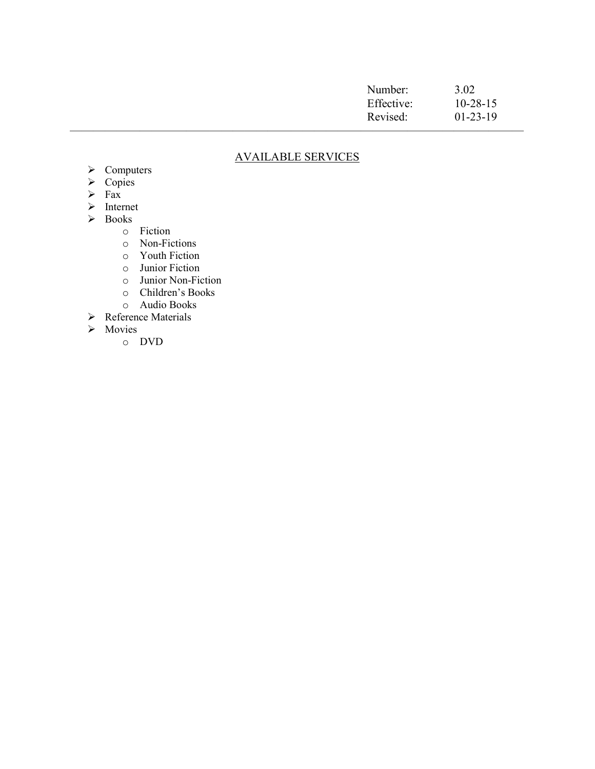| Number:    | 3.02           |  |
|------------|----------------|--|
| Effective: | $10 - 28 - 15$ |  |
| Revised:   | $01-23-19$     |  |
|            |                |  |

# AVAILABLE SERVICES

- > Computers
- $\triangleright$  Copies
- $\triangleright$  Fax
- > Internet
- Books
	- o Fiction
	- o Non-Fictions
	- o Youth Fiction
	- o Junior Fiction
	- o Junior Non-Fiction
	- o Children's Books
	- o Audio Books
- **►** Reference Materials
- > Movies
	- o DVD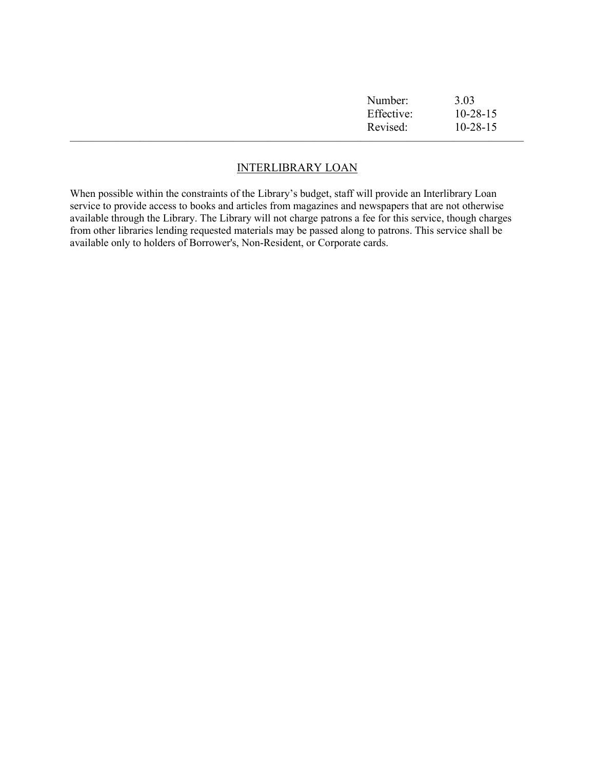| Number:    | 3.03           |
|------------|----------------|
| Effective: | $10 - 28 - 15$ |
| Revised:   | $10 - 28 - 15$ |
|            |                |

## INTERLIBRARY LOAN

When possible within the constraints of the Library's budget, staff will provide an Interlibrary Loan service to provide access to books and articles from magazines and newspapers that are not otherwise available through the Library. The Library will not charge patrons a fee for this service, though charges from other libraries lending requested materials may be passed along to patrons. This service shall be available only to holders of Borrower's, Non-Resident, or Corporate cards.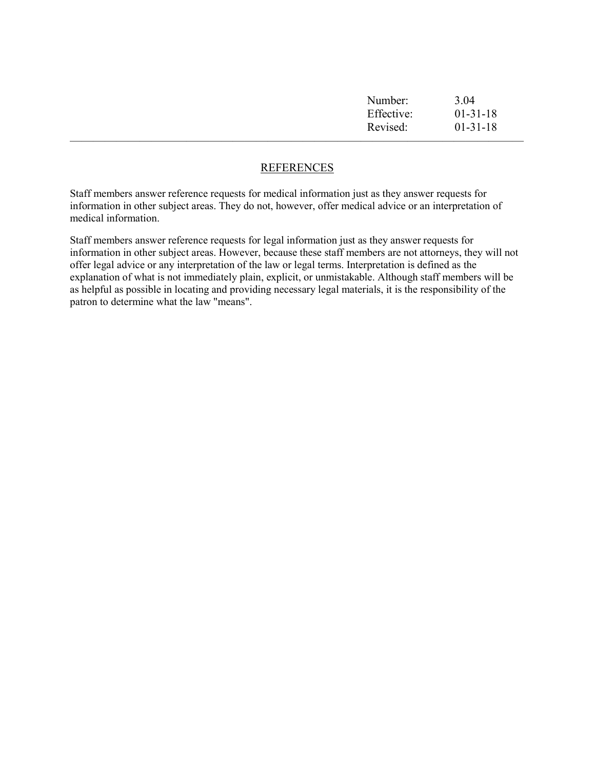| Number:    | 3.04           |
|------------|----------------|
| Effective: | $01-31-18$     |
| Revised:   | $01 - 31 - 18$ |
|            |                |

## **REFERENCES**

Staff members answer reference requests for medical information just as they answer requests for information in other subject areas. They do not, however, offer medical advice or an interpretation of medical information.

Staff members answer reference requests for legal information just as they answer requests for information in other subject areas. However, because these staff members are not attorneys, they will not offer legal advice or any interpretation of the law or legal terms. Interpretation is defined as the explanation of what is not immediately plain, explicit, or unmistakable. Although staff members will be as helpful as possible in locating and providing necessary legal materials, it is the responsibility of the patron to determine what the law "means".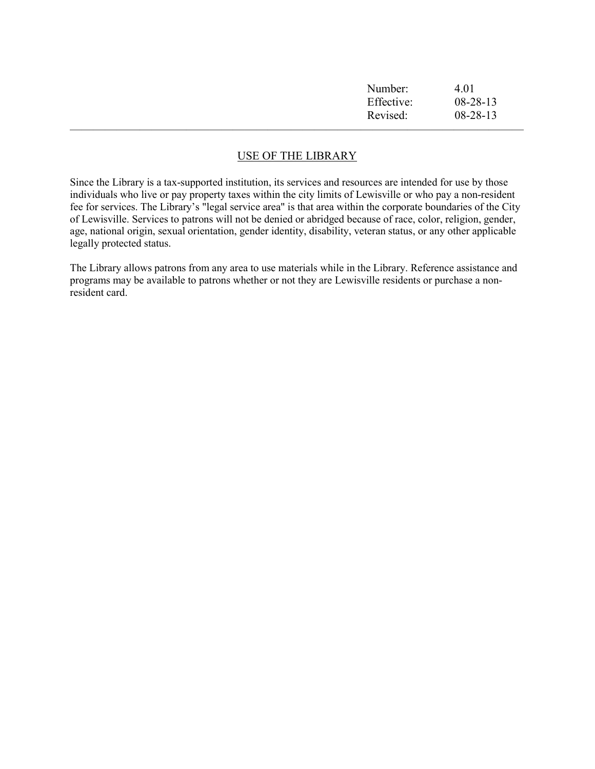| Number:    | 4.01           |
|------------|----------------|
| Effective: | $08 - 28 - 13$ |
| Revised:   | $08 - 28 - 13$ |
|            |                |

# USE OF THE LIBRARY

Since the Library is a tax-supported institution, its services and resources are intended for use by those individuals who live or pay property taxes within the city limits of Lewisville or who pay a non-resident fee for services. The Library's "legal service area" is that area within the corporate boundaries of the City of Lewisville. Services to patrons will not be denied or abridged because of race, color, religion, gender, age, national origin, sexual orientation, gender identity, disability, veteran status, or any other applicable legally protected status.

The Library allows patrons from any area to use materials while in the Library. Reference assistance and programs may be available to patrons whether or not they are Lewisville residents or purchase a nonresident card.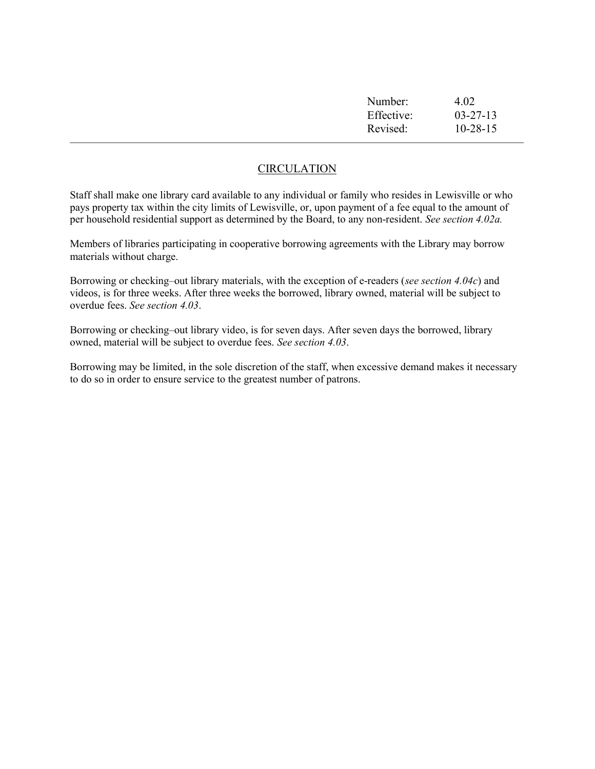| Number:    | 4.02           |
|------------|----------------|
| Effective: | $03 - 27 - 13$ |
| Revised:   | $10 - 28 - 15$ |
|            |                |

## **CIRCULATION**

Staff shall make one library card available to any individual or family who resides in Lewisville or who pays property tax within the city limits of Lewisville, or, upon payment of a fee equal to the amount of per household residential support as determined by the Board, to any non-resident. See section 4.02a.

Members of libraries participating in cooperative borrowing agreements with the Library may borrow materials without charge.

Borrowing or checking–out library materials, with the exception of e-readers (see section 4.04c) and videos, is for three weeks. After three weeks the borrowed, library owned, material will be subject to overdue fees. See section 4.03.

Borrowing or checking–out library video, is for seven days. After seven days the borrowed, library owned, material will be subject to overdue fees. See section 4.03.

Borrowing may be limited, in the sole discretion of the staff, when excessive demand makes it necessary to do so in order to ensure service to the greatest number of patrons.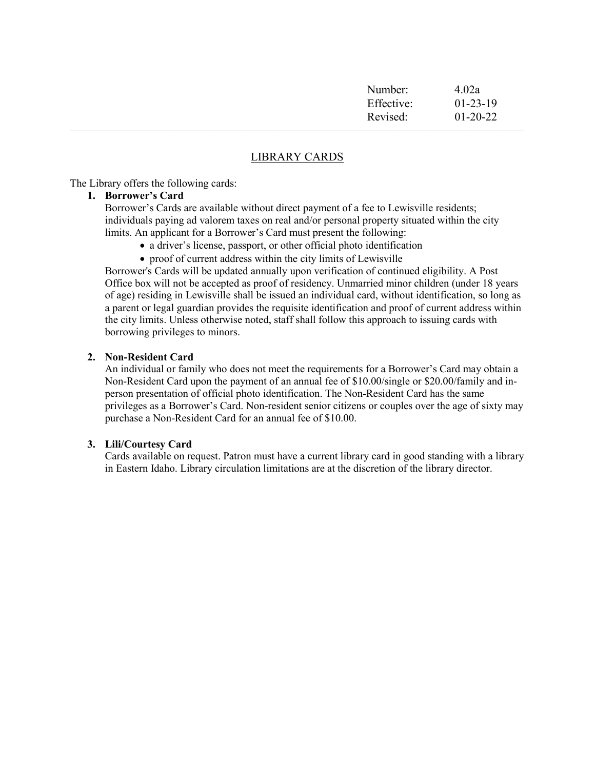| Number:    | 4.02a          |  |
|------------|----------------|--|
| Effective: | $01-23-19$     |  |
| Revised:   | $01 - 20 - 22$ |  |
|            |                |  |

## LIBRARY CARDS

The Library offers the following cards:

#### 1. Borrower's Card

Borrower's Cards are available without direct payment of a fee to Lewisville residents; individuals paying ad valorem taxes on real and/or personal property situated within the city limits. An applicant for a Borrower's Card must present the following:

- a driver's license, passport, or other official photo identification
- proof of current address within the city limits of Lewisville

Borrower's Cards will be updated annually upon verification of continued eligibility. A Post Office box will not be accepted as proof of residency. Unmarried minor children (under 18 years of age) residing in Lewisville shall be issued an individual card, without identification, so long as a parent or legal guardian provides the requisite identification and proof of current address within the city limits. Unless otherwise noted, staff shall follow this approach to issuing cards with borrowing privileges to minors.

#### 2. Non-Resident Card

An individual or family who does not meet the requirements for a Borrower's Card may obtain a Non-Resident Card upon the payment of an annual fee of \$10.00/single or \$20.00/family and inperson presentation of official photo identification. The Non-Resident Card has the same privileges as a Borrower's Card. Non-resident senior citizens or couples over the age of sixty may purchase a Non-Resident Card for an annual fee of \$10.00.

## 3. Lili/Courtesy Card

Cards available on request. Patron must have a current library card in good standing with a library in Eastern Idaho. Library circulation limitations are at the discretion of the library director.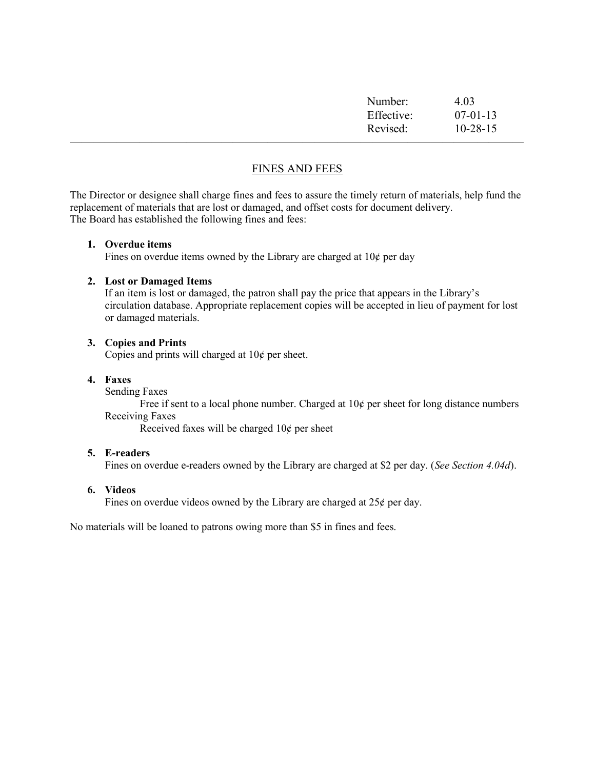| Number:    | 4.03           |
|------------|----------------|
| Effective: | $07-01-13$     |
| Revised:   | $10 - 28 - 15$ |
|            |                |

# FINES AND FEES

The Director or designee shall charge fines and fees to assure the timely return of materials, help fund the replacement of materials that are lost or damaged, and offset costs for document delivery. The Board has established the following fines and fees:

#### 1. Overdue items

Fines on overdue items owned by the Library are charged at  $10¢$  per day

#### 2. Lost or Damaged Items

If an item is lost or damaged, the patron shall pay the price that appears in the Library's circulation database. Appropriate replacement copies will be accepted in lieu of payment for lost or damaged materials.

#### 3. Copies and Prints

Copies and prints will charged at  $10¢$  per sheet.

## 4. Faxes

Sending Faxes

Free if sent to a local phone number. Charged at  $10¢$  per sheet for long distance numbers Receiving Faxes

Received faxes will be charged  $10¢$  per sheet

#### 5. E-readers

Fines on overdue e-readers owned by the Library are charged at \$2 per day. (See Section 4.04d).

#### 6. Videos

Fines on overdue videos owned by the Library are charged at  $25¢$  per day.

No materials will be loaned to patrons owing more than \$5 in fines and fees.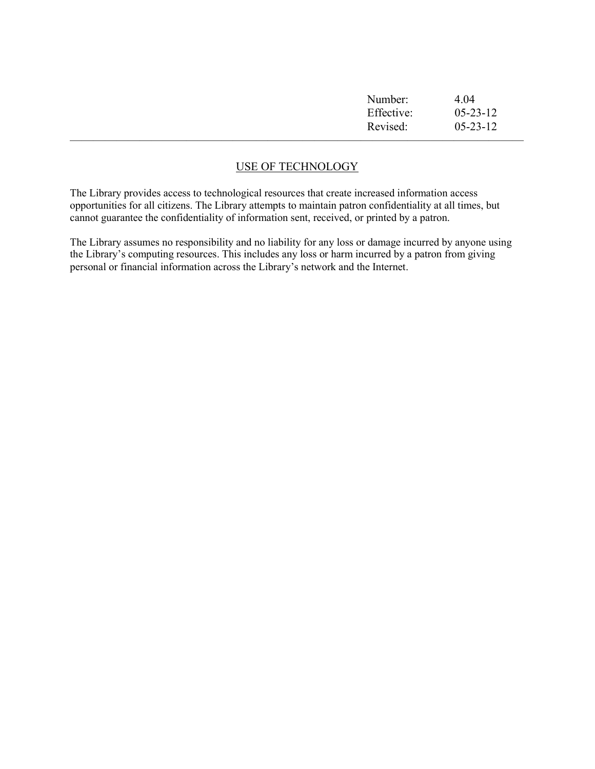| Number:    | 4.04           |
|------------|----------------|
| Effective: | $05 - 23 - 12$ |
| Revised:   | $05 - 23 - 12$ |
|            |                |

# USE OF TECHNOLOGY

The Library provides access to technological resources that create increased information access opportunities for all citizens. The Library attempts to maintain patron confidentiality at all times, but cannot guarantee the confidentiality of information sent, received, or printed by a patron.

The Library assumes no responsibility and no liability for any loss or damage incurred by anyone using the Library's computing resources. This includes any loss or harm incurred by a patron from giving personal or financial information across the Library's network and the Internet.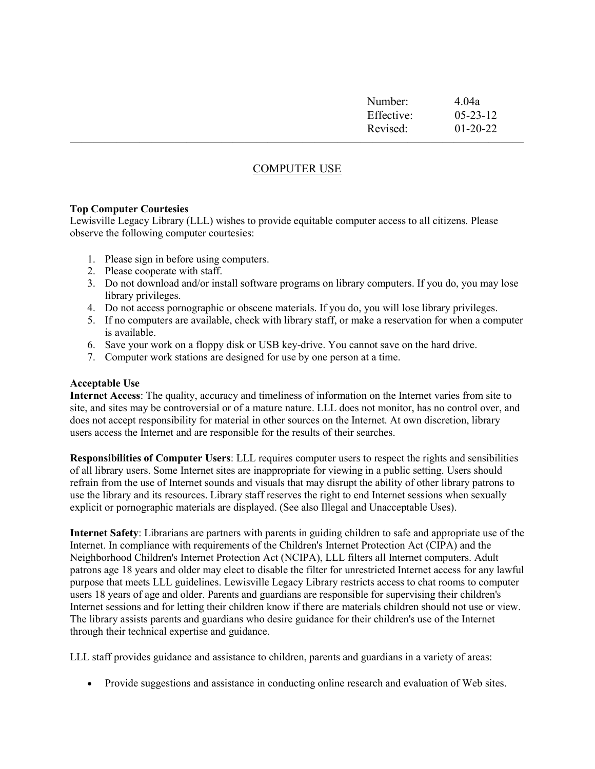| Number:    | 4.04a          |
|------------|----------------|
| Effective: | $05 - 23 - 12$ |
| Revised:   | $01 - 20 - 22$ |
|            |                |

# COMPUTER USE

#### Top Computer Courtesies

Lewisville Legacy Library (LLL) wishes to provide equitable computer access to all citizens. Please observe the following computer courtesies:

- 1. Please sign in before using computers.
- 2. Please cooperate with staff.
- 3. Do not download and/or install software programs on library computers. If you do, you may lose library privileges.
- 4. Do not access pornographic or obscene materials. If you do, you will lose library privileges.
- 5. If no computers are available, check with library staff, or make a reservation for when a computer is available.
- 6. Save your work on a floppy disk or USB key-drive. You cannot save on the hard drive.
- 7. Computer work stations are designed for use by one person at a time.

#### Acceptable Use

Internet Access: The quality, accuracy and timeliness of information on the Internet varies from site to site, and sites may be controversial or of a mature nature. LLL does not monitor, has no control over, and does not accept responsibility for material in other sources on the Internet. At own discretion, library users access the Internet and are responsible for the results of their searches.

Responsibilities of Computer Users: LLL requires computer users to respect the rights and sensibilities of all library users. Some Internet sites are inappropriate for viewing in a public setting. Users should refrain from the use of Internet sounds and visuals that may disrupt the ability of other library patrons to use the library and its resources. Library staff reserves the right to end Internet sessions when sexually explicit or pornographic materials are displayed. (See also Illegal and Unacceptable Uses).

Internet Safety: Librarians are partners with parents in guiding children to safe and appropriate use of the Internet. In compliance with requirements of the Children's Internet Protection Act (CIPA) and the Neighborhood Children's Internet Protection Act (NCIPA), LLL filters all Internet computers. Adult patrons age 18 years and older may elect to disable the filter for unrestricted Internet access for any lawful purpose that meets LLL guidelines. Lewisville Legacy Library restricts access to chat rooms to computer users 18 years of age and older. Parents and guardians are responsible for supervising their children's Internet sessions and for letting their children know if there are materials children should not use or view. The library assists parents and guardians who desire guidance for their children's use of the Internet through their technical expertise and guidance.

LLL staff provides guidance and assistance to children, parents and guardians in a variety of areas:

• Provide suggestions and assistance in conducting online research and evaluation of Web sites.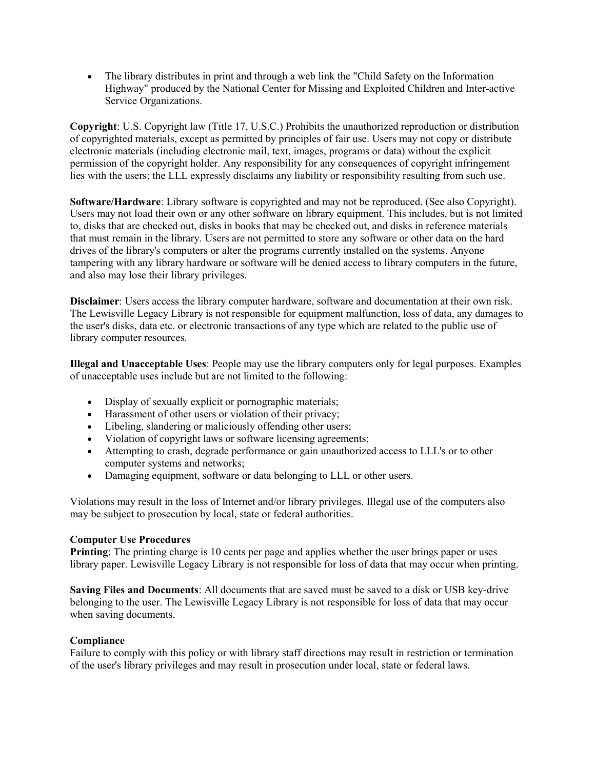The library distributes in print and through a web link the "Child Safety on the Information Highway" produced by the National Center for Missing and Exploited Children and Inter-active Service Organizations.

Copyright: U.S. Copyright law (Title 17, U.S.C.) Prohibits the unauthorized reproduction or distribution of copyrighted materials, except as permitted by principles of fair use. Users may not copy or distribute electronic materials (including electronic mail, text, images, programs or data) without the explicit permission of the copyright holder. Any responsibility for any consequences of copyright infringement lies with the users; the LLL expressly disclaims any liability or responsibility resulting from such use.

Software/Hardware: Library software is copyrighted and may not be reproduced. (See also Copyright). Users may not load their own or any other software on library equipment. This includes, but is not limited to, disks that are checked out, disks in books that may be checked out, and disks in reference materials that must remain in the library. Users are not permitted to store any software or other data on the hard drives of the library's computers or alter the programs currently installed on the systems. Anyone tampering with any library hardware or software will be denied access to library computers in the future, and also may lose their library privileges.

Disclaimer: Users access the library computer hardware, software and documentation at their own risk. The Lewisville Legacy Library is not responsible for equipment malfunction, loss of data, any damages to the user's disks, data etc. or electronic transactions of any type which are related to the public use of library computer resources.

Illegal and Unacceptable Uses: People may use the library computers only for legal purposes. Examples of unacceptable uses include but are not limited to the following:

- Display of sexually explicit or pornographic materials;
- Harassment of other users or violation of their privacy;
- Libeling, slandering or maliciously offending other users;
- Violation of copyright laws or software licensing agreements;
- Attempting to crash, degrade performance or gain unauthorized access to LLL's or to other computer systems and networks;
- Damaging equipment, software or data belonging to LLL or other users.

Violations may result in the loss of Internet and/or library privileges. Illegal use of the computers also may be subject to prosecution by local, state or federal authorities.

## Computer Use Procedures

Printing: The printing charge is 10 cents per page and applies whether the user brings paper or uses library paper. Lewisville Legacy Library is not responsible for loss of data that may occur when printing.

Saving Files and Documents: All documents that are saved must be saved to a disk or USB key-drive belonging to the user. The Lewisville Legacy Library is not responsible for loss of data that may occur when saving documents.

## Compliance

Failure to comply with this policy or with library staff directions may result in restriction or termination of the user's library privileges and may result in prosecution under local, state or federal laws.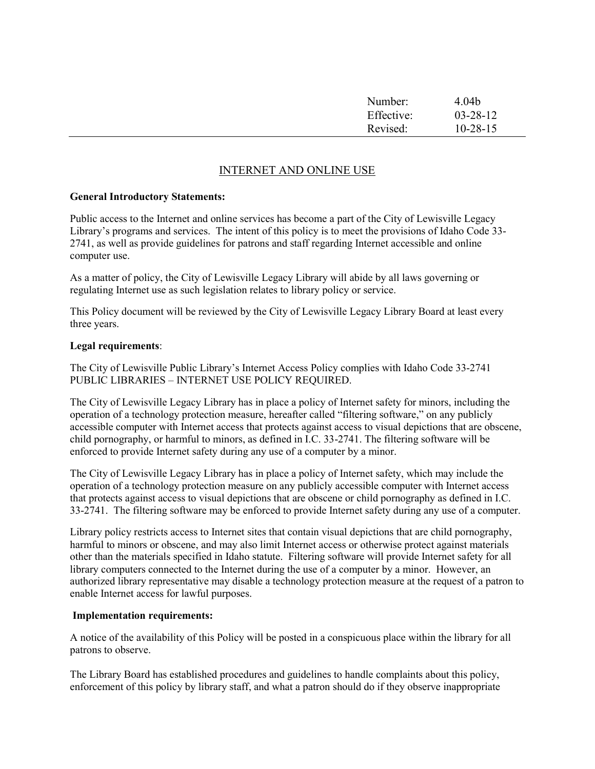| Number:    | 4.04 <sub>b</sub> |
|------------|-------------------|
| Effective: | $03 - 28 - 12$    |
| Revised:   | $10-28-15$        |

## INTERNET AND ONLINE USE

#### General Introductory Statements:

Public access to the Internet and online services has become a part of the City of Lewisville Legacy Library's programs and services. The intent of this policy is to meet the provisions of Idaho Code 33- 2741, as well as provide guidelines for patrons and staff regarding Internet accessible and online computer use.

As a matter of policy, the City of Lewisville Legacy Library will abide by all laws governing or regulating Internet use as such legislation relates to library policy or service.

This Policy document will be reviewed by the City of Lewisville Legacy Library Board at least every three years.

#### Legal requirements:

The City of Lewisville Public Library's Internet Access Policy complies with Idaho Code 33-2741 PUBLIC LIBRARIES – INTERNET USE POLICY REQUIRED.

The City of Lewisville Legacy Library has in place a policy of Internet safety for minors, including the operation of a technology protection measure, hereafter called "filtering software," on any publicly accessible computer with Internet access that protects against access to visual depictions that are obscene, child pornography, or harmful to minors, as defined in I.C. 33-2741. The filtering software will be enforced to provide Internet safety during any use of a computer by a minor.

The City of Lewisville Legacy Library has in place a policy of Internet safety, which may include the operation of a technology protection measure on any publicly accessible computer with Internet access that protects against access to visual depictions that are obscene or child pornography as defined in I.C. 33-2741. The filtering software may be enforced to provide Internet safety during any use of a computer.

Library policy restricts access to Internet sites that contain visual depictions that are child pornography, harmful to minors or obscene, and may also limit Internet access or otherwise protect against materials other than the materials specified in Idaho statute. Filtering software will provide Internet safety for all library computers connected to the Internet during the use of a computer by a minor. However, an authorized library representative may disable a technology protection measure at the request of a patron to enable Internet access for lawful purposes.

#### Implementation requirements:

A notice of the availability of this Policy will be posted in a conspicuous place within the library for all patrons to observe.

The Library Board has established procedures and guidelines to handle complaints about this policy, enforcement of this policy by library staff, and what a patron should do if they observe inappropriate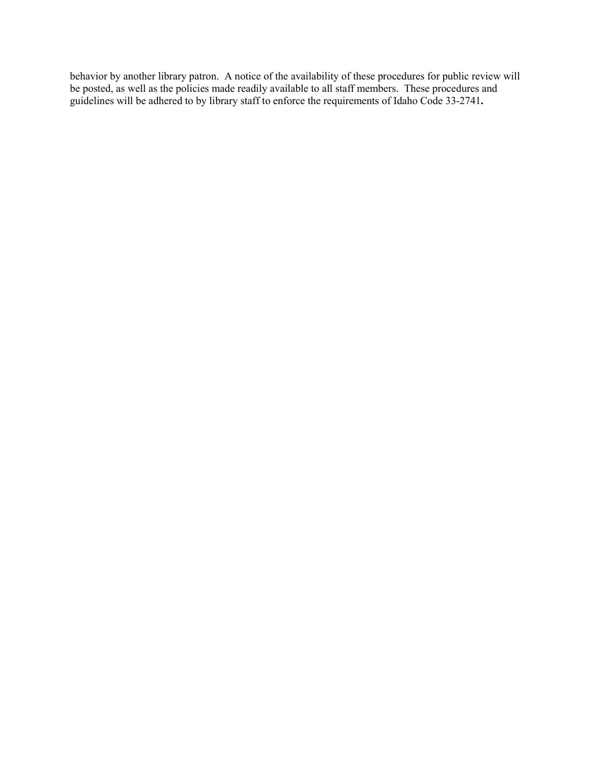behavior by another library patron. A notice of the availability of these procedures for public review will be posted, as well as the policies made readily available to all staff members. These procedures and guidelines will be adhered to by library staff to enforce the requirements of Idaho Code 33-2741.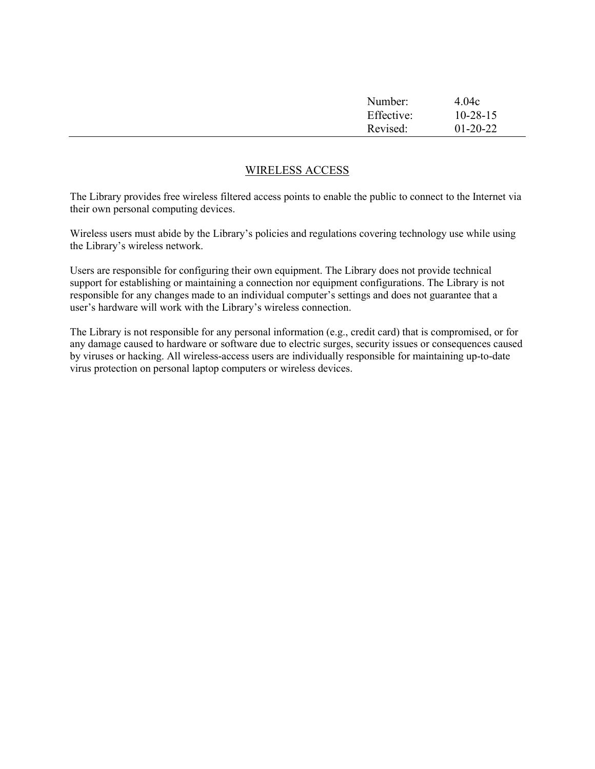| Number:<br>Effective: | 4.04c<br>$10 - 28 - 15$ |  |
|-----------------------|-------------------------|--|
| Revised:              | $01 - 20 - 22$          |  |
|                       |                         |  |

## WIRELESS ACCESS

The Library provides free wireless filtered access points to enable the public to connect to the Internet via their own personal computing devices.

Wireless users must abide by the Library's policies and regulations covering technology use while using the Library's wireless network.

Users are responsible for configuring their own equipment. The Library does not provide technical support for establishing or maintaining a connection nor equipment configurations. The Library is not responsible for any changes made to an individual computer's settings and does not guarantee that a user's hardware will work with the Library's wireless connection.

The Library is not responsible for any personal information (e.g., credit card) that is compromised, or for any damage caused to hardware or software due to electric surges, security issues or consequences caused by viruses or hacking. All wireless-access users are individually responsible for maintaining up-to-date virus protection on personal laptop computers or wireless devices.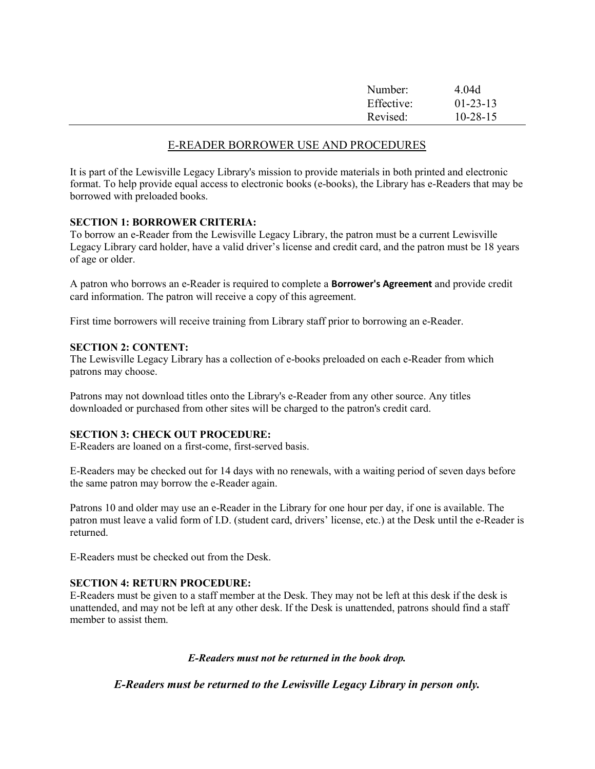| Number:<br>Effective: | 4.04d<br>$01-23-13$ |  |
|-----------------------|---------------------|--|
| Revised:              | $10 - 28 - 15$      |  |
|                       |                     |  |

## E-READER BORROWER USE AND PROCEDURES

It is part of the Lewisville Legacy Library's mission to provide materials in both printed and electronic format. To help provide equal access to electronic books (e-books), the Library has e-Readers that may be borrowed with preloaded books.

## SECTION 1: BORROWER CRITERIA:

To borrow an e-Reader from the Lewisville Legacy Library, the patron must be a current Lewisville Legacy Library card holder, have a valid driver's license and credit card, and the patron must be 18 years of age or older.

A patron who borrows an e-Reader is required to complete a Borrower's Agreement and provide credit card information. The patron will receive a copy of this agreement.

First time borrowers will receive training from Library staff prior to borrowing an e-Reader.

#### SECTION 2: CONTENT:

The Lewisville Legacy Library has a collection of e-books preloaded on each e-Reader from which patrons may choose.

Patrons may not download titles onto the Library's e-Reader from any other source. Any titles downloaded or purchased from other sites will be charged to the patron's credit card.

## SECTION 3: CHECK OUT PROCEDURE:

E-Readers are loaned on a first-come, first-served basis.

E-Readers may be checked out for 14 days with no renewals, with a waiting period of seven days before the same patron may borrow the e-Reader again.

Patrons 10 and older may use an e-Reader in the Library for one hour per day, if one is available. The patron must leave a valid form of I.D. (student card, drivers' license, etc.) at the Desk until the e-Reader is returned.

E-Readers must be checked out from the Desk.

## SECTION 4: RETURN PROCEDURE:

E-Readers must be given to a staff member at the Desk. They may not be left at this desk if the desk is unattended, and may not be left at any other desk. If the Desk is unattended, patrons should find a staff member to assist them.

#### E-Readers must not be returned in the book drop.

E-Readers must be returned to the Lewisville Legacy Library in person only.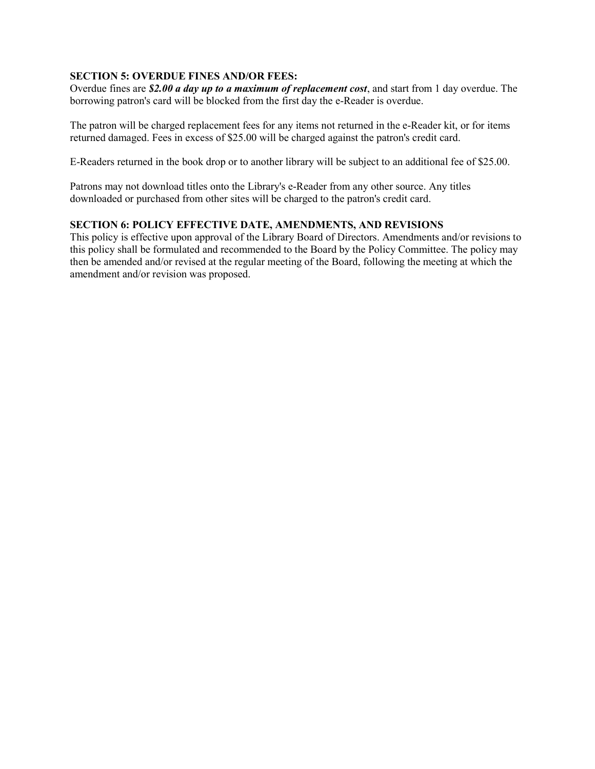## SECTION 5: OVERDUE FINES AND/OR FEES:

Overdue fines are \$2.00 a day up to a maximum of replacement cost, and start from 1 day overdue. The borrowing patron's card will be blocked from the first day the e-Reader is overdue.

The patron will be charged replacement fees for any items not returned in the e-Reader kit, or for items returned damaged. Fees in excess of \$25.00 will be charged against the patron's credit card.

E-Readers returned in the book drop or to another library will be subject to an additional fee of \$25.00.

Patrons may not download titles onto the Library's e-Reader from any other source. Any titles downloaded or purchased from other sites will be charged to the patron's credit card.

## SECTION 6: POLICY EFFECTIVE DATE, AMENDMENTS, AND REVISIONS

This policy is effective upon approval of the Library Board of Directors. Amendments and/or revisions to this policy shall be formulated and recommended to the Board by the Policy Committee. The policy may then be amended and/or revised at the regular meeting of the Board, following the meeting at which the amendment and/or revision was proposed.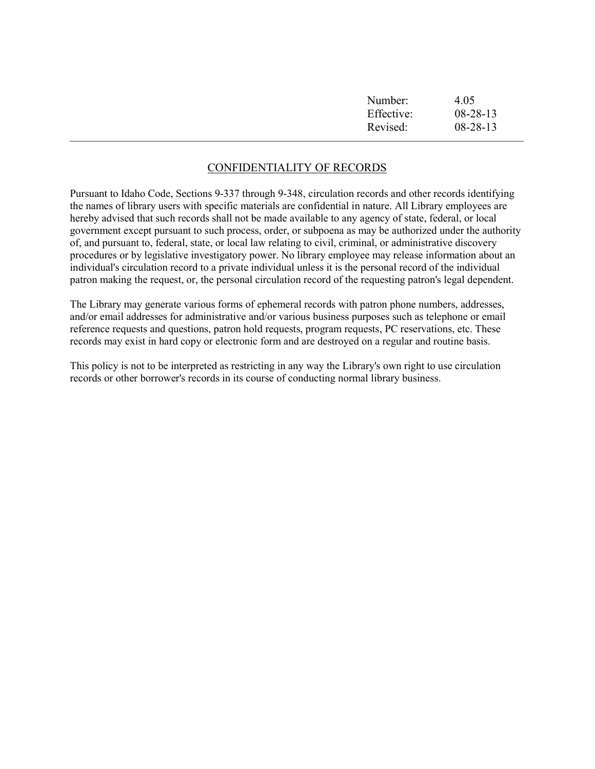| Number:    | 4.05           |
|------------|----------------|
| Effective: | $08 - 28 - 13$ |
| Revised:   | $08 - 28 - 13$ |
|            |                |

## CONFIDENTIALITY OF RECORDS

Pursuant to Idaho Code, Sections 9-337 through 9-348, circulation records and other records identifying the names of library users with specific materials are confidential in nature. All Library employees are hereby advised that such records shall not be made available to any agency of state, federal, or local government except pursuant to such process, order, or subpoena as may be authorized under the authority of, and pursuant to, federal, state, or local law relating to civil, criminal, or administrative discovery procedures or by legislative investigatory power. No library employee may release information about an individual's circulation record to a private individual unless it is the personal record of the individual patron making the request, or, the personal circulation record of the requesting patron's legal dependent.

The Library may generate various forms of ephemeral records with patron phone numbers, addresses, and/or email addresses for administrative and/or various business purposes such as telephone or email reference requests and questions, patron hold requests, program requests, PC reservations, etc. These records may exist in hard copy or electronic form and are destroyed on a regular and routine basis.

This policy is not to be interpreted as restricting in any way the Library's own right to use circulation records or other borrower's records in its course of conducting normal library business.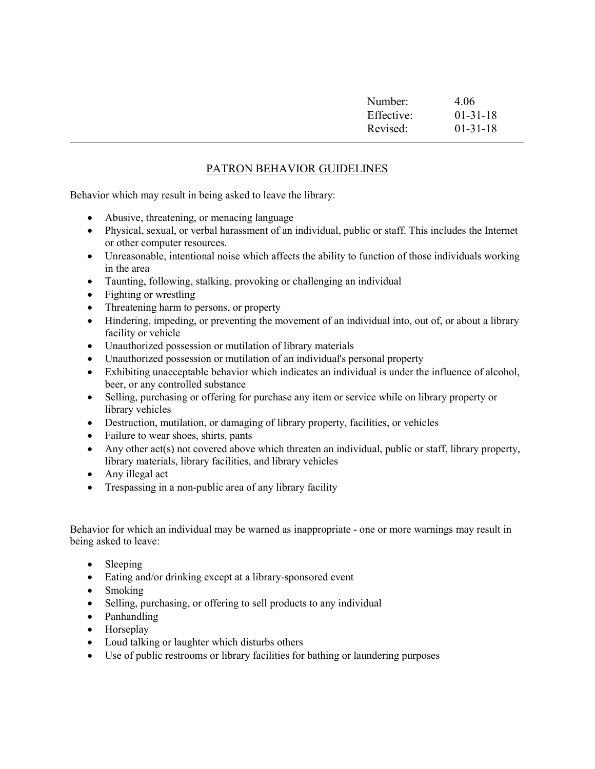| Number:    | 4.06       |
|------------|------------|
| Effective: | $01-31-18$ |
| Revised:   | $01-31-18$ |
|            |            |

# PATRON BEHAVIOR GUIDELINES

Behavior which may result in being asked to leave the library:

- Abusive, threatening, or menacing language
- Physical, sexual, or verbal harassment of an individual, public or staff. This includes the Internet or other computer resources.
- Unreasonable, intentional noise which affects the ability to function of those individuals working in the area
- Taunting, following, stalking, provoking or challenging an individual
- Fighting or wrestling
- Threatening harm to persons, or property
- Hindering, impeding, or preventing the movement of an individual into, out of, or about a library facility or vehicle
- Unauthorized possession or mutilation of library materials
- Unauthorized possession or mutilation of an individual's personal property
- Exhibiting unacceptable behavior which indicates an individual is under the influence of alcohol, beer, or any controlled substance
- Selling, purchasing or offering for purchase any item or service while on library property or library vehicles
- Destruction, mutilation, or damaging of library property, facilities, or vehicles
- Failure to wear shoes, shirts, pants
- Any other act(s) not covered above which threaten an individual, public or staff, library property, library materials, library facilities, and library vehicles
- Any illegal act
- Trespassing in a non-public area of any library facility

Behavior for which an individual may be warned as inappropriate - one or more warnings may result in being asked to leave:

- Sleeping
- Eating and/or drinking except at a library-sponsored event
- Smoking
- Selling, purchasing, or offering to sell products to any individual
- Panhandling
- Horseplay
- Loud talking or laughter which disturbs others
- Use of public restrooms or library facilities for bathing or laundering purposes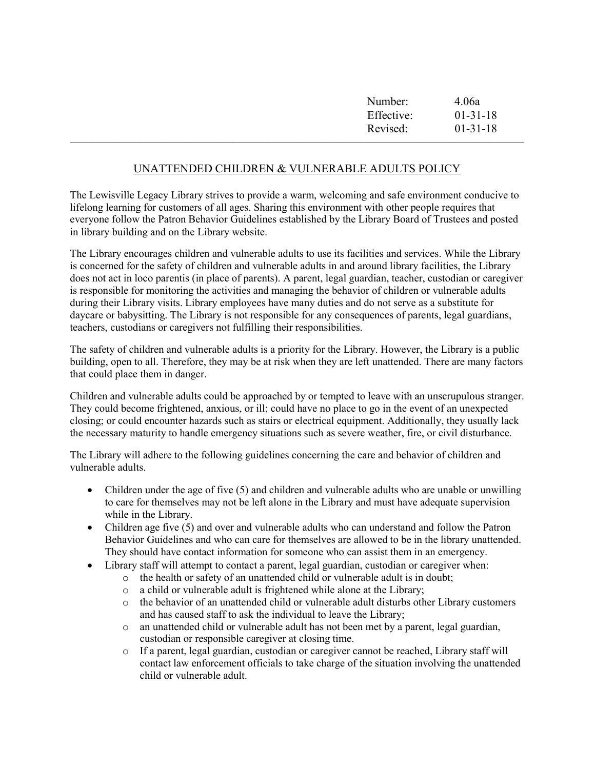| Number:    | 4.06a      |  |
|------------|------------|--|
| Effective: | $01-31-18$ |  |
| Revised:   | $01-31-18$ |  |
|            |            |  |

# UNATTENDED CHILDREN & VULNERABLE ADULTS POLICY

The Lewisville Legacy Library strives to provide a warm, welcoming and safe environment conducive to lifelong learning for customers of all ages. Sharing this environment with other people requires that everyone follow the Patron Behavior Guidelines established by the Library Board of Trustees and posted in library building and on the Library website.

The Library encourages children and vulnerable adults to use its facilities and services. While the Library is concerned for the safety of children and vulnerable adults in and around library facilities, the Library does not act in loco parentis (in place of parents). A parent, legal guardian, teacher, custodian or caregiver is responsible for monitoring the activities and managing the behavior of children or vulnerable adults during their Library visits. Library employees have many duties and do not serve as a substitute for daycare or babysitting. The Library is not responsible for any consequences of parents, legal guardians, teachers, custodians or caregivers not fulfilling their responsibilities.

The safety of children and vulnerable adults is a priority for the Library. However, the Library is a public building, open to all. Therefore, they may be at risk when they are left unattended. There are many factors that could place them in danger.

Children and vulnerable adults could be approached by or tempted to leave with an unscrupulous stranger. They could become frightened, anxious, or ill; could have no place to go in the event of an unexpected closing; or could encounter hazards such as stairs or electrical equipment. Additionally, they usually lack the necessary maturity to handle emergency situations such as severe weather, fire, or civil disturbance.

The Library will adhere to the following guidelines concerning the care and behavior of children and vulnerable adults.

- Children under the age of five (5) and children and vulnerable adults who are unable or unwilling to care for themselves may not be left alone in the Library and must have adequate supervision while in the Library.
- Children age five (5) and over and vulnerable adults who can understand and follow the Patron Behavior Guidelines and who can care for themselves are allowed to be in the library unattended. They should have contact information for someone who can assist them in an emergency.
- Library staff will attempt to contact a parent, legal guardian, custodian or caregiver when:
	- o the health or safety of an unattended child or vulnerable adult is in doubt;
	- o a child or vulnerable adult is frightened while alone at the Library;
	- o the behavior of an unattended child or vulnerable adult disturbs other Library customers and has caused staff to ask the individual to leave the Library;
	- o an unattended child or vulnerable adult has not been met by a parent, legal guardian, custodian or responsible caregiver at closing time.
	- o If a parent, legal guardian, custodian or caregiver cannot be reached, Library staff will contact law enforcement officials to take charge of the situation involving the unattended child or vulnerable adult.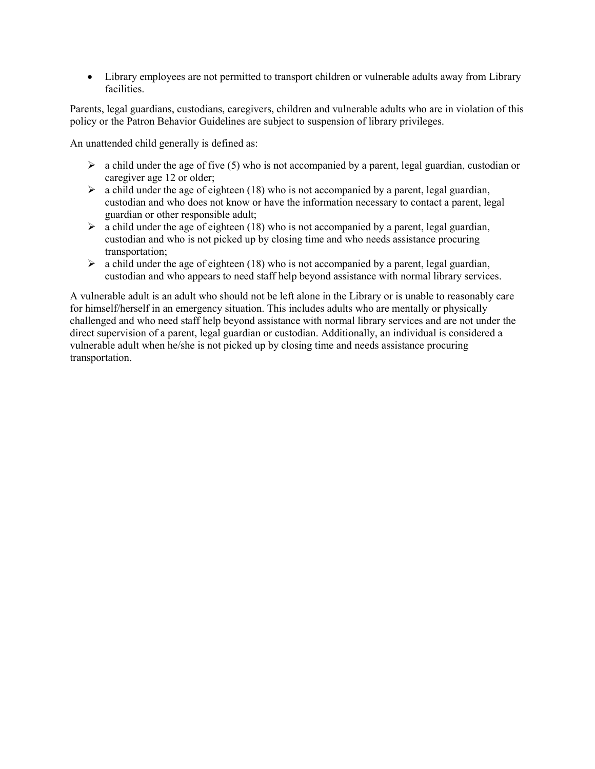Library employees are not permitted to transport children or vulnerable adults away from Library facilities.

Parents, legal guardians, custodians, caregivers, children and vulnerable adults who are in violation of this policy or the Patron Behavior Guidelines are subject to suspension of library privileges.

An unattended child generally is defined as:

- $\triangleright$  a child under the age of five (5) who is not accompanied by a parent, legal guardian, custodian or caregiver age 12 or older;
- $\triangleright$  a child under the age of eighteen (18) who is not accompanied by a parent, legal guardian, custodian and who does not know or have the information necessary to contact a parent, legal guardian or other responsible adult;
- $\triangleright$  a child under the age of eighteen (18) who is not accompanied by a parent, legal guardian, custodian and who is not picked up by closing time and who needs assistance procuring transportation;
- $\triangleright$  a child under the age of eighteen (18) who is not accompanied by a parent, legal guardian, custodian and who appears to need staff help beyond assistance with normal library services.

A vulnerable adult is an adult who should not be left alone in the Library or is unable to reasonably care for himself/herself in an emergency situation. This includes adults who are mentally or physically challenged and who need staff help beyond assistance with normal library services and are not under the direct supervision of a parent, legal guardian or custodian. Additionally, an individual is considered a vulnerable adult when he/she is not picked up by closing time and needs assistance procuring transportation.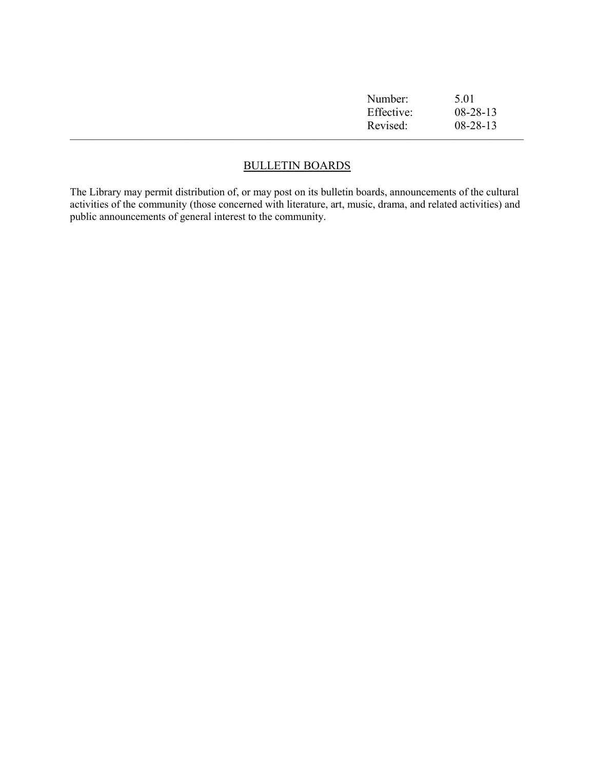| Number:    | 5.01           |
|------------|----------------|
| Effective: | $08 - 28 - 13$ |
| Revised:   | $08 - 28 - 13$ |
|            |                |

# BULLETIN BOARDS

The Library may permit distribution of, or may post on its bulletin boards, announcements of the cultural activities of the community (those concerned with literature, art, music, drama, and related activities) and public announcements of general interest to the community.